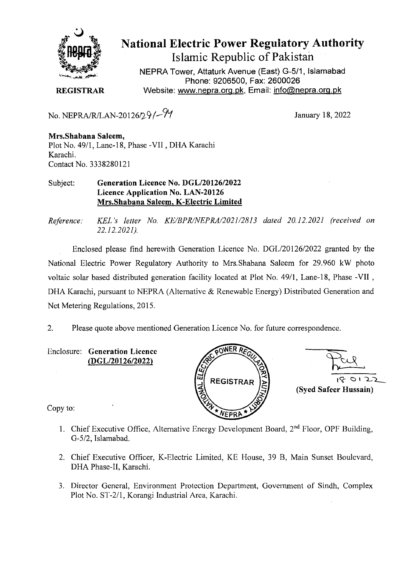

**National Electric Power Regulatory Authority** 

**Islamic Republic of Pakistan** 

**NEPRA Tower, Attaturk Avenue (East) G-511, Islamabad Phone: 9206500, Fax: 2600026 REGISTRAR** Website: www.nepra.org.pk, Email: info@nepra.org.pk

No. NEPRA/R/LAN-20126/2 $9$ /- $9$ 

**Mrs.Shabana Saleem,**  Plot No. 49/1, Lane-18, Phase -VII, DHA Karachi Karachi. Contact No. 3338280121

Subject: **Generation Licence No. DGL/20126/2022 Licence Application No. LAN-20126 Mrs.Shabana Saleem, K-Electric Limited** 

*Reference: KEL 's letter No. KE/BPR/NEPRA/2021/2813 dated 20.12.2021 (received on 22.12.2021).* 

Enclosed please find herewith Generation Licence No. DGL/20126/2022 granted by the National Electric Power Regulatory Authority to Mrs.Shabana Saleem for 29.960 kW photo voltaic solar based distributed generation facility located at Plot No. 49/1, Lane-18, Phase -VII DHA Karachi, pursuant to NEPRA (Alternative & Renewable Energy) Distributed Generation and Net Metering Regulations, 2015.

2. Please quote above mentioned Generation Licence No. for future correspondence.

Enclosure: **Generation Licence (DGL/20126/2022)** 





Copy to:

- 1. Chief Executive Office, Alternative Energy Development Board,  $2<sup>nd</sup>$  Floor, OPF Building, G-5/2, Islamabad.
- 2. Chief Executive Officer, K-Electric Limited, KE House, 39 B, Main Sunset Boulevard, DHA Phase-Il, Karachi.
- 3. Director General, Environment Protection Department. Government of Sindh, Complex Plot No. S'l'-2/1, Korangi Industrial Area, Karachi.